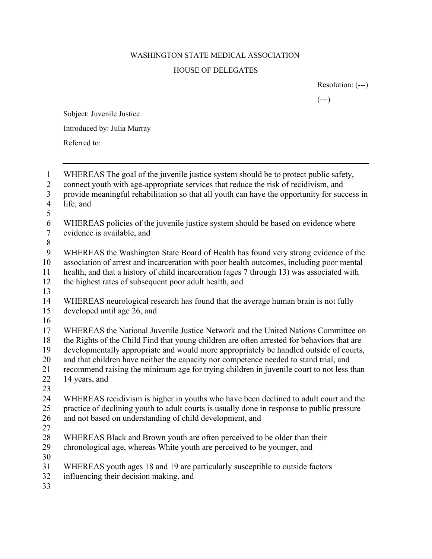## WASHINGTON STATE MEDICAL ASSOCIATION HOUSE OF DELEGATES

Resolution: (---)

 $(---)$ 

Subject: Juvenile Justice

Introduced by: Julia Murray

Referred to:

 WHEREAS The goal of the juvenile justice system should be to protect public safety, connect youth with age-appropriate services that reduce the risk of recidivism, and provide meaningful rehabilitation so that all youth can have the opportunity for success in life, and WHEREAS policies of the juvenile justice system should be based on evidence where evidence is available, and WHEREAS the Washington State Board of Health has found very strong evidence of the association of arrest and incarceration with poor health outcomes, including poor mental health, and that a history of child incarceration (ages 7 through 13) was associated with the highest rates of subsequent poor adult health, and WHEREAS neurological research has found that the average human brain is not fully developed until age 26, and WHEREAS the National Juvenile Justice Network and the United Nations Committee on the Rights of the Child Find that young children are often arrested for behaviors that are developmentally appropriate and would more appropriately be handled outside of courts, and that children have neither the capacity nor competence needed to stand trial, and recommend raising the minimum age for trying children in juvenile court to not less than 14 years, and WHEREAS recidivism is higher in youths who have been declined to adult court and the practice of declining youth to adult courts is usually done in response to public pressure and not based on understanding of child development, and WHEREAS Black and Brown youth are often perceived to be older than their chronological age, whereas White youth are perceived to be younger, and WHEREAS youth ages 18 and 19 are particularly susceptible to outside factors influencing their decision making, and